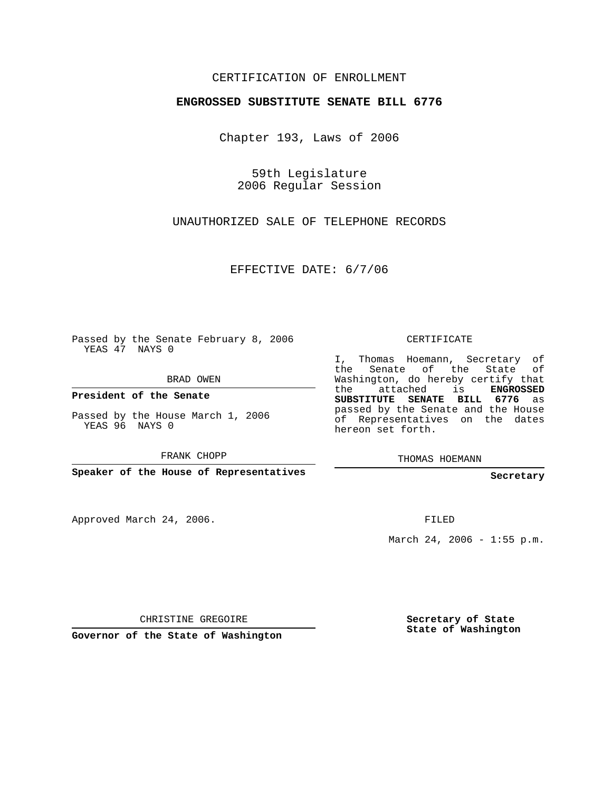## CERTIFICATION OF ENROLLMENT

## **ENGROSSED SUBSTITUTE SENATE BILL 6776**

Chapter 193, Laws of 2006

59th Legislature 2006 Regular Session

UNAUTHORIZED SALE OF TELEPHONE RECORDS

EFFECTIVE DATE: 6/7/06

Passed by the Senate February 8, 2006 YEAS 47 NAYS 0

BRAD OWEN

**President of the Senate**

Passed by the House March 1, 2006 YEAS 96 NAYS 0

FRANK CHOPP

**Speaker of the House of Representatives**

Approved March 24, 2006.

CERTIFICATE

I, Thomas Hoemann, Secretary of the Senate of the State of Washington, do hereby certify that the attached is **ENGROSSED SUBSTITUTE SENATE BILL 6776** as passed by the Senate and the House of Representatives on the dates hereon set forth.

THOMAS HOEMANN

**Secretary**

FILED

March 24, 2006 - 1:55 p.m.

CHRISTINE GREGOIRE

**Governor of the State of Washington**

**Secretary of State State of Washington**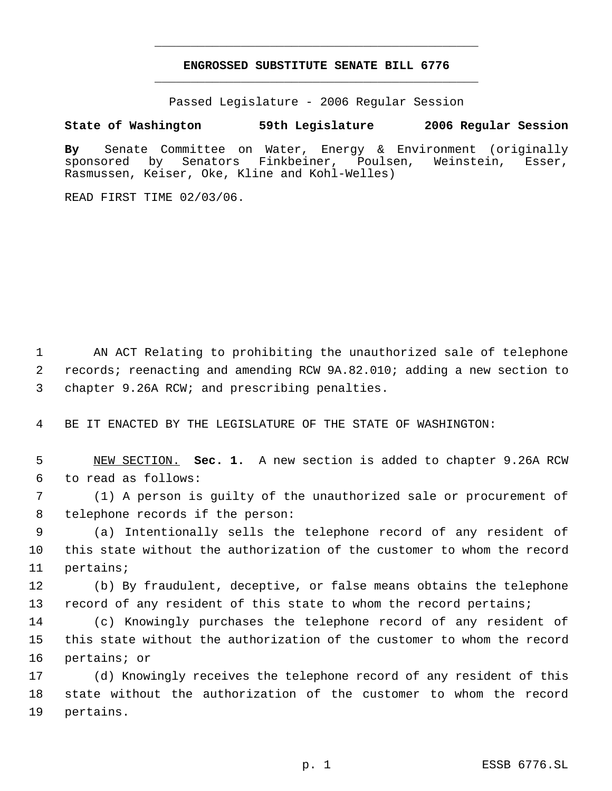## **ENGROSSED SUBSTITUTE SENATE BILL 6776** \_\_\_\_\_\_\_\_\_\_\_\_\_\_\_\_\_\_\_\_\_\_\_\_\_\_\_\_\_\_\_\_\_\_\_\_\_\_\_\_\_\_\_\_\_

\_\_\_\_\_\_\_\_\_\_\_\_\_\_\_\_\_\_\_\_\_\_\_\_\_\_\_\_\_\_\_\_\_\_\_\_\_\_\_\_\_\_\_\_\_

Passed Legislature - 2006 Regular Session

## **State of Washington 59th Legislature 2006 Regular Session**

**By** Senate Committee on Water, Energy & Environment (originally sponsored by Senators Finkbeiner, Poulsen, Weinstein, Esser, Rasmussen, Keiser, Oke, Kline and Kohl-Welles)

READ FIRST TIME 02/03/06.

 AN ACT Relating to prohibiting the unauthorized sale of telephone records; reenacting and amending RCW 9A.82.010; adding a new section to chapter 9.26A RCW; and prescribing penalties.

BE IT ENACTED BY THE LEGISLATURE OF THE STATE OF WASHINGTON:

 NEW SECTION. **Sec. 1.** A new section is added to chapter 9.26A RCW to read as follows:

 (1) A person is guilty of the unauthorized sale or procurement of telephone records if the person:

 (a) Intentionally sells the telephone record of any resident of this state without the authorization of the customer to whom the record pertains;

 (b) By fraudulent, deceptive, or false means obtains the telephone 13 record of any resident of this state to whom the record pertains;

 (c) Knowingly purchases the telephone record of any resident of this state without the authorization of the customer to whom the record pertains; or

 (d) Knowingly receives the telephone record of any resident of this state without the authorization of the customer to whom the record pertains.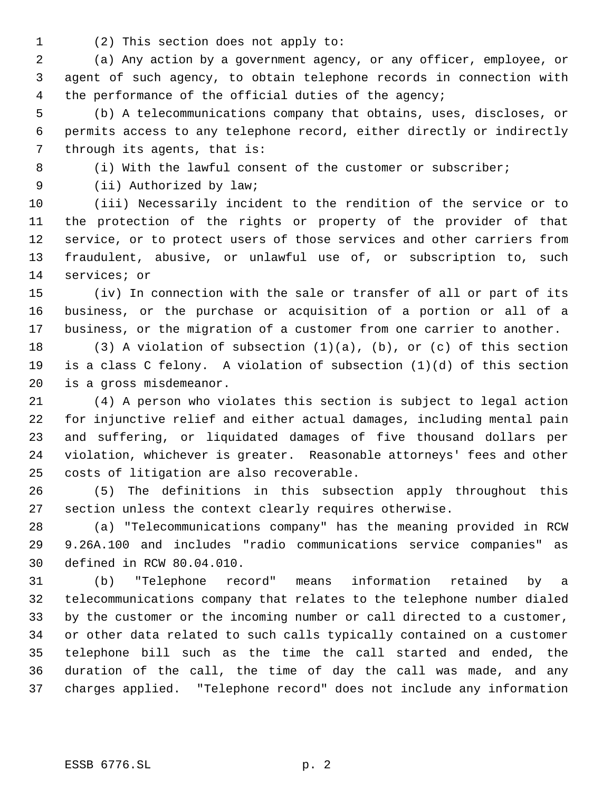(2) This section does not apply to:

 (a) Any action by a government agency, or any officer, employee, or agent of such agency, to obtain telephone records in connection with 4 the performance of the official duties of the agency;

 (b) A telecommunications company that obtains, uses, discloses, or permits access to any telephone record, either directly or indirectly through its agents, that is:

(i) With the lawful consent of the customer or subscriber;

9 (ii) Authorized by law;

 (iii) Necessarily incident to the rendition of the service or to the protection of the rights or property of the provider of that service, or to protect users of those services and other carriers from fraudulent, abusive, or unlawful use of, or subscription to, such services; or

 (iv) In connection with the sale or transfer of all or part of its business, or the purchase or acquisition of a portion or all of a business, or the migration of a customer from one carrier to another.

 (3) A violation of subsection (1)(a), (b), or (c) of this section is a class C felony. A violation of subsection (1)(d) of this section is a gross misdemeanor.

 (4) A person who violates this section is subject to legal action for injunctive relief and either actual damages, including mental pain and suffering, or liquidated damages of five thousand dollars per violation, whichever is greater. Reasonable attorneys' fees and other costs of litigation are also recoverable.

 (5) The definitions in this subsection apply throughout this section unless the context clearly requires otherwise.

 (a) "Telecommunications company" has the meaning provided in RCW 9.26A.100 and includes "radio communications service companies" as defined in RCW 80.04.010.

 (b) "Telephone record" means information retained by a telecommunications company that relates to the telephone number dialed by the customer or the incoming number or call directed to a customer, or other data related to such calls typically contained on a customer telephone bill such as the time the call started and ended, the duration of the call, the time of day the call was made, and any charges applied. "Telephone record" does not include any information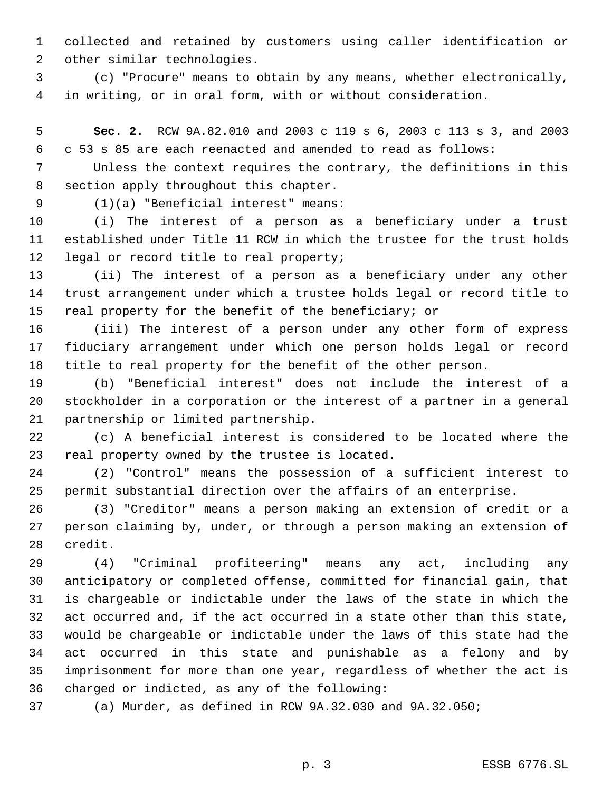collected and retained by customers using caller identification or other similar technologies.

 (c) "Procure" means to obtain by any means, whether electronically, in writing, or in oral form, with or without consideration.

 **Sec. 2.** RCW 9A.82.010 and 2003 c 119 s 6, 2003 c 113 s 3, and 2003 c 53 s 85 are each reenacted and amended to read as follows:

 Unless the context requires the contrary, the definitions in this section apply throughout this chapter.

(1)(a) "Beneficial interest" means:

 (i) The interest of a person as a beneficiary under a trust established under Title 11 RCW in which the trustee for the trust holds 12 legal or record title to real property;

 (ii) The interest of a person as a beneficiary under any other trust arrangement under which a trustee holds legal or record title to real property for the benefit of the beneficiary; or

 (iii) The interest of a person under any other form of express fiduciary arrangement under which one person holds legal or record title to real property for the benefit of the other person.

 (b) "Beneficial interest" does not include the interest of a stockholder in a corporation or the interest of a partner in a general partnership or limited partnership.

 (c) A beneficial interest is considered to be located where the real property owned by the trustee is located.

 (2) "Control" means the possession of a sufficient interest to permit substantial direction over the affairs of an enterprise.

 (3) "Creditor" means a person making an extension of credit or a person claiming by, under, or through a person making an extension of credit.

 (4) "Criminal profiteering" means any act, including any anticipatory or completed offense, committed for financial gain, that is chargeable or indictable under the laws of the state in which the act occurred and, if the act occurred in a state other than this state, would be chargeable or indictable under the laws of this state had the act occurred in this state and punishable as a felony and by imprisonment for more than one year, regardless of whether the act is charged or indicted, as any of the following:

(a) Murder, as defined in RCW 9A.32.030 and 9A.32.050;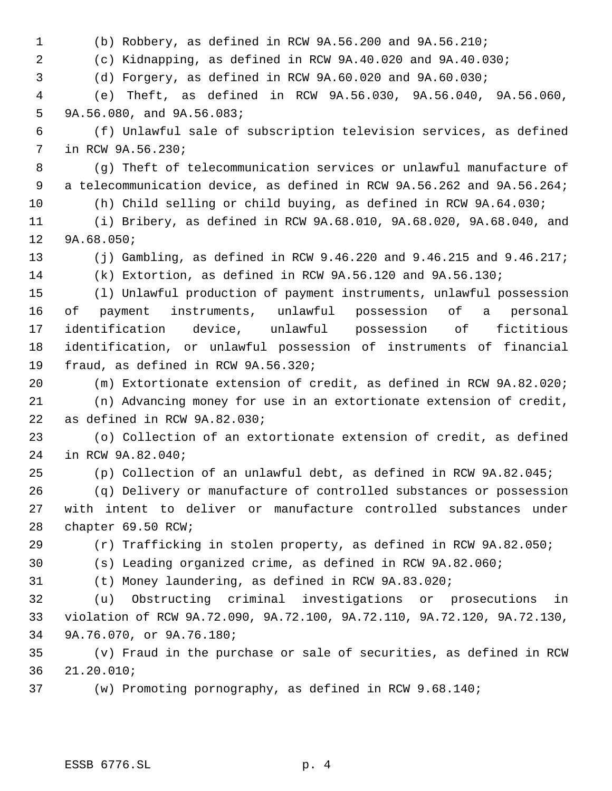(b) Robbery, as defined in RCW 9A.56.200 and 9A.56.210; (c) Kidnapping, as defined in RCW 9A.40.020 and 9A.40.030; (d) Forgery, as defined in RCW 9A.60.020 and 9A.60.030; (e) Theft, as defined in RCW 9A.56.030, 9A.56.040, 9A.56.060, 9A.56.080, and 9A.56.083; (f) Unlawful sale of subscription television services, as defined in RCW 9A.56.230; (g) Theft of telecommunication services or unlawful manufacture of a telecommunication device, as defined in RCW 9A.56.262 and 9A.56.264; (h) Child selling or child buying, as defined in RCW 9A.64.030; (i) Bribery, as defined in RCW 9A.68.010, 9A.68.020, 9A.68.040, and 9A.68.050; (j) Gambling, as defined in RCW 9.46.220 and 9.46.215 and 9.46.217; (k) Extortion, as defined in RCW 9A.56.120 and 9A.56.130; (l) Unlawful production of payment instruments, unlawful possession of payment instruments, unlawful possession of a personal identification device, unlawful possession of fictitious identification, or unlawful possession of instruments of financial fraud, as defined in RCW 9A.56.320; (m) Extortionate extension of credit, as defined in RCW 9A.82.020; (n) Advancing money for use in an extortionate extension of credit, as defined in RCW 9A.82.030; (o) Collection of an extortionate extension of credit, as defined in RCW 9A.82.040; (p) Collection of an unlawful debt, as defined in RCW 9A.82.045; (q) Delivery or manufacture of controlled substances or possession with intent to deliver or manufacture controlled substances under chapter 69.50 RCW; (r) Trafficking in stolen property, as defined in RCW 9A.82.050; (s) Leading organized crime, as defined in RCW 9A.82.060; (t) Money laundering, as defined in RCW 9A.83.020; (u) Obstructing criminal investigations or prosecutions in violation of RCW 9A.72.090, 9A.72.100, 9A.72.110, 9A.72.120, 9A.72.130, 9A.76.070, or 9A.76.180; (v) Fraud in the purchase or sale of securities, as defined in RCW 21.20.010; (w) Promoting pornography, as defined in RCW 9.68.140;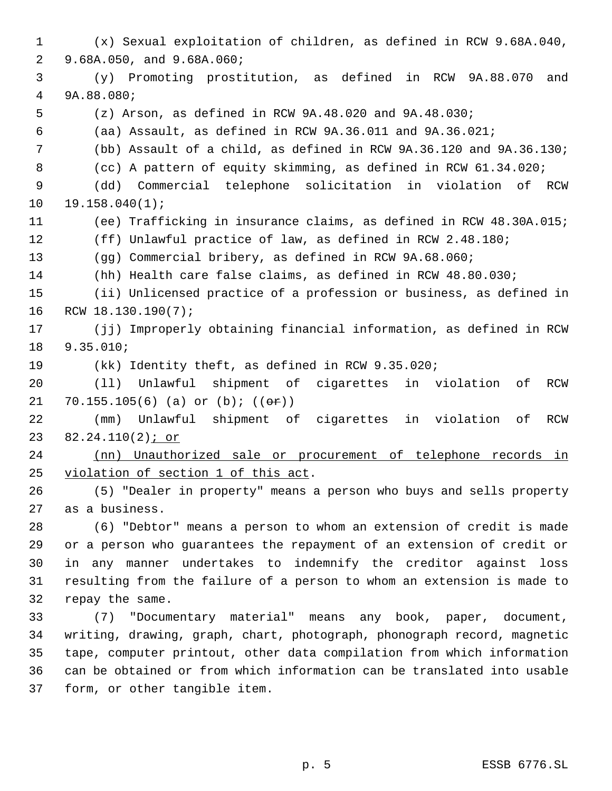(x) Sexual exploitation of children, as defined in RCW 9.68A.040, 9.68A.050, and 9.68A.060; (y) Promoting prostitution, as defined in RCW 9A.88.070 and 9A.88.080; (z) Arson, as defined in RCW 9A.48.020 and 9A.48.030; (aa) Assault, as defined in RCW 9A.36.011 and 9A.36.021; (bb) Assault of a child, as defined in RCW 9A.36.120 and 9A.36.130; (cc) A pattern of equity skimming, as defined in RCW 61.34.020; (dd) Commercial telephone solicitation in violation of RCW 19.158.040(1); (ee) Trafficking in insurance claims, as defined in RCW 48.30A.015; (ff) Unlawful practice of law, as defined in RCW 2.48.180; (gg) Commercial bribery, as defined in RCW 9A.68.060; (hh) Health care false claims, as defined in RCW 48.80.030; (ii) Unlicensed practice of a profession or business, as defined in RCW 18.130.190(7); (jj) Improperly obtaining financial information, as defined in RCW 9.35.010; (kk) Identity theft, as defined in RCW 9.35.020; (ll) Unlawful shipment of cigarettes in violation of RCW 21 70.155.105(6) (a) or  $(b)$ ;  $((e^c)^n)$  (mm) Unlawful shipment of cigarettes in violation of RCW 23 82.24.110(2) *j* or (nn) Unauthorized sale or procurement of telephone records in violation of section 1 of this act. (5) "Dealer in property" means a person who buys and sells property as a business. (6) "Debtor" means a person to whom an extension of credit is made or a person who guarantees the repayment of an extension of credit or in any manner undertakes to indemnify the creditor against loss resulting from the failure of a person to whom an extension is made to repay the same. (7) "Documentary material" means any book, paper, document, writing, drawing, graph, chart, photograph, phonograph record, magnetic tape, computer printout, other data compilation from which information can be obtained or from which information can be translated into usable form, or other tangible item.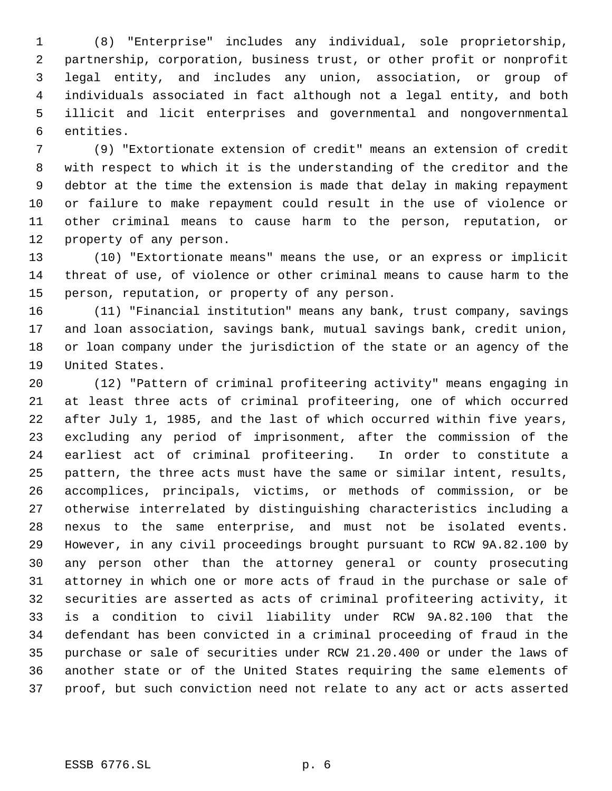(8) "Enterprise" includes any individual, sole proprietorship, partnership, corporation, business trust, or other profit or nonprofit legal entity, and includes any union, association, or group of individuals associated in fact although not a legal entity, and both illicit and licit enterprises and governmental and nongovernmental entities.

 (9) "Extortionate extension of credit" means an extension of credit with respect to which it is the understanding of the creditor and the debtor at the time the extension is made that delay in making repayment or failure to make repayment could result in the use of violence or other criminal means to cause harm to the person, reputation, or property of any person.

 (10) "Extortionate means" means the use, or an express or implicit threat of use, of violence or other criminal means to cause harm to the person, reputation, or property of any person.

 (11) "Financial institution" means any bank, trust company, savings and loan association, savings bank, mutual savings bank, credit union, or loan company under the jurisdiction of the state or an agency of the United States.

 (12) "Pattern of criminal profiteering activity" means engaging in at least three acts of criminal profiteering, one of which occurred after July 1, 1985, and the last of which occurred within five years, excluding any period of imprisonment, after the commission of the earliest act of criminal profiteering. In order to constitute a pattern, the three acts must have the same or similar intent, results, accomplices, principals, victims, or methods of commission, or be otherwise interrelated by distinguishing characteristics including a nexus to the same enterprise, and must not be isolated events. However, in any civil proceedings brought pursuant to RCW 9A.82.100 by any person other than the attorney general or county prosecuting attorney in which one or more acts of fraud in the purchase or sale of securities are asserted as acts of criminal profiteering activity, it is a condition to civil liability under RCW 9A.82.100 that the defendant has been convicted in a criminal proceeding of fraud in the purchase or sale of securities under RCW 21.20.400 or under the laws of another state or of the United States requiring the same elements of proof, but such conviction need not relate to any act or acts asserted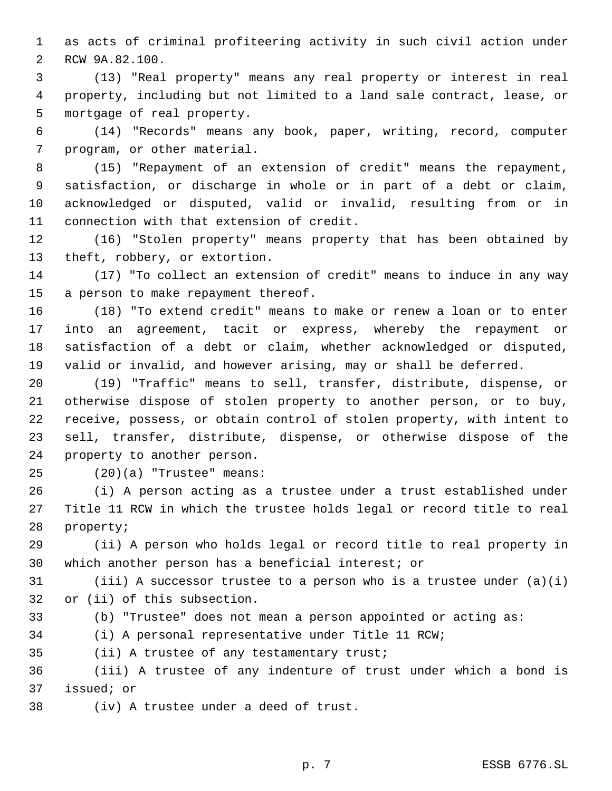as acts of criminal profiteering activity in such civil action under RCW 9A.82.100.

 (13) "Real property" means any real property or interest in real property, including but not limited to a land sale contract, lease, or mortgage of real property.

 (14) "Records" means any book, paper, writing, record, computer program, or other material.

 (15) "Repayment of an extension of credit" means the repayment, satisfaction, or discharge in whole or in part of a debt or claim, acknowledged or disputed, valid or invalid, resulting from or in connection with that extension of credit.

 (16) "Stolen property" means property that has been obtained by theft, robbery, or extortion.

 (17) "To collect an extension of credit" means to induce in any way a person to make repayment thereof.

 (18) "To extend credit" means to make or renew a loan or to enter into an agreement, tacit or express, whereby the repayment or satisfaction of a debt or claim, whether acknowledged or disputed, valid or invalid, and however arising, may or shall be deferred.

 (19) "Traffic" means to sell, transfer, distribute, dispense, or otherwise dispose of stolen property to another person, or to buy, receive, possess, or obtain control of stolen property, with intent to sell, transfer, distribute, dispense, or otherwise dispose of the property to another person.

(20)(a) "Trustee" means:

 (i) A person acting as a trustee under a trust established under Title 11 RCW in which the trustee holds legal or record title to real property;

 (ii) A person who holds legal or record title to real property in which another person has a beneficial interest; or

31 (iii) A successor trustee to a person who is a trustee under  $(a)(i)$ or (ii) of this subsection.

- (b) "Trustee" does not mean a person appointed or acting as:
- (i) A personal representative under Title 11 RCW;

(ii) A trustee of any testamentary trust;

 (iii) A trustee of any indenture of trust under which a bond is issued; or

(iv) A trustee under a deed of trust.